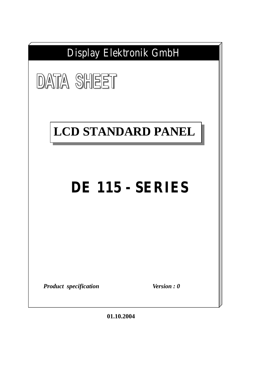

**01.10.2004**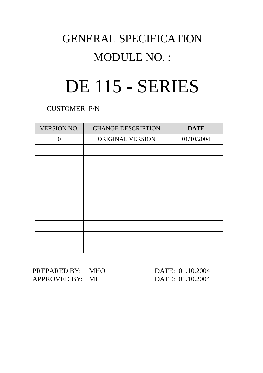## GENERAL SPECIFICATION

## MODULE NO. :

# DE 115 - SERIES

CUSTOMER P/N

| <b>VERSION NO.</b> | <b>CHANGE DESCRIPTION</b> | <b>DATE</b> |
|--------------------|---------------------------|-------------|
| ∩                  | ORIGINAL VERSION          | 01/10/2004  |
|                    |                           |             |
|                    |                           |             |
|                    |                           |             |
|                    |                           |             |
|                    |                           |             |
|                    |                           |             |
|                    |                           |             |
|                    |                           |             |
|                    |                           |             |
|                    |                           |             |

PREPARED BY: MHO DATE: 01.10.2004 APPROVED BY: MH DATE: 01.10.2004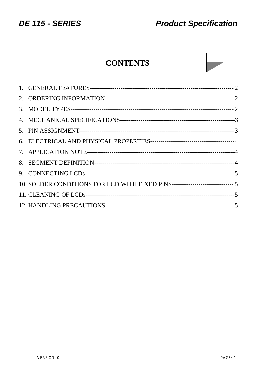$\mathcal{L}$ 

## **CONTENTS**

| 10. SOLDER CONDITIONS FOR LCD WITH FIXED PINS------------------------------ 5 |  |
|-------------------------------------------------------------------------------|--|
|                                                                               |  |
|                                                                               |  |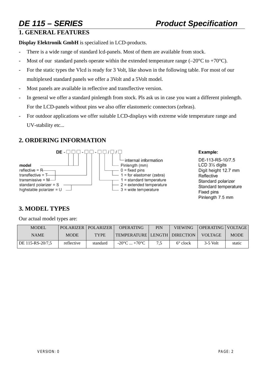## **1. GENERAL FEATURES**

**Display Elektronik GmbH** is specialized in LCD-products.

- There is a wide range of standard lcd-panels. Most of them are available from stock.
- Most of our standard panels operate within the extended temperature range (–20 $^{\circ}$ C to +70 $^{\circ}$ C).
- For the static types the Vlcd is ready for 3 Volt, like shown in the following table. For most of our multiplexed standard panels we offer a 3Volt and a 5Volt model.
- Most panels are available in reflective and transflective version.
- In general we offer a standard pinlength from stock. Pls ask us in case you want a different pinlength. For the LCD-panels without pins we also offer elastomeric connectors (zebras).
- For outdoor applications we offer suitable LCD-displays with extreme wide temperature range and UV-stability etc...

## **2. ORDERING INFORMATION**



### Example:

DE-113-RS-10/7.5 LCD 31/2 digits Digit height 12.7 mm Reflective Standard polarizer Standard temperature Fixed pins Pinlength 7.5 mm

## **3. MODEL TYPES**

Our actual model types are:

| <b>MODEL</b>     |             | <b>POLARIZER   POLARIZER  </b> | <b>OPERATING</b>                  | PIN | <b>VIEWING</b>    | OPERATING VOLTAGE |             |
|------------------|-------------|--------------------------------|-----------------------------------|-----|-------------------|-------------------|-------------|
| <b>NAME</b>      | <b>MODE</b> | <b>TYPE</b>                    | TEMPERATURE   LENGTH   DIRECTION_ |     |                   | VOLTAGE           | <b>MODE</b> |
| DE 115-RS-20/7.5 | reflective  | standard                       | $-20^{\circ}$ C $+70^{\circ}$ C   | 75  | $6^{\circ}$ clock | $3-5$ Volt        | static      |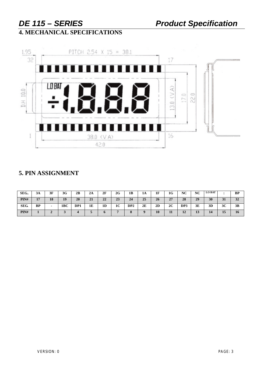## **4. MECHANICAL SPECIFICATIONS**



## **5. PIN ASSIGNMENT**

| SEG. | 3A        | 3F                       | 3G  | 2B  | 2A | 2F | 2G             | 1В              | 1A | 1F | 1G | NC                           | NC | <b>LO BAT</b> |                      | <b>BP</b> |
|------|-----------|--------------------------|-----|-----|----|----|----------------|-----------------|----|----|----|------------------------------|----|---------------|----------------------|-----------|
| PIN# | 17        | 18                       | 19  | 20  | 21 | 22 | 23             | 24              | 25 | 26 | 27 | 28                           | 29 | 30            | 31                   | 32        |
| SEG. | <b>BP</b> | $\overline{\phantom{0}}$ | 1BC | DP1 | 1E | 1D | 1 <sub>C</sub> | DP <sub>2</sub> | 2E | 2D | 2C | DP3                          | 3Ε | 3D            | 3C                   | 3B        |
| PIN# |           |                          | ັ   |     |    |    |                |                 |    | 10 | 11 | $\mathbf{A}$<br>$\mathbf{L}$ | 13 | 14            | $\blacksquare$<br>15 | 16        |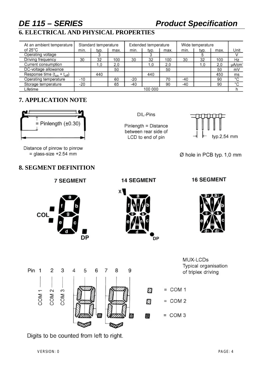## *DE 115 – SERIES Product Specification*

## **6. ELECTRICAL AND PHYSICAL PROPERTIES**

| At an ambient temperature          |         | Standard temperature |      |       | Extended temperature |      | Wide temperature |      |      |       |
|------------------------------------|---------|----------------------|------|-------|----------------------|------|------------------|------|------|-------|
| of $25^{\circ}$ C                  | min.    | typ.                 | max. | min.  | typ.                 | max. | min.             | typ. | max. | Unit  |
| Operating voltage                  |         |                      |      |       |                      |      |                  |      |      |       |
| Driving frequency                  | 30      | 32                   | 100  | 30    | 32                   | 100  | 30               | 32   | 100  | Hz    |
| Current consumption                |         | 1.0                  | 2,0  |       | 1,0                  | 2,0  |                  | 1.0  | 2.0  | µA/cm |
| DC-voltage allowance               |         |                      | 50   |       |                      | 50   |                  |      | 50   | mV    |
| Response time $(t_{on} + t_{off})$ |         | 440                  |      |       | 440                  |      |                  |      | 450  | ms    |
| Operating temperature              | $-10$   |                      | 60   | $-20$ |                      | 70   | -40              |      | 90   | °C    |
| Storage temperature                | -20     |                      | 65   | -40   |                      | 90   | $-40$            |      | 90   | ۰c    |
| Lifetime                           | 100 000 |                      |      |       |                      |      |                  |      |      |       |

## **7. APPLICATION NOTE**



Distance of pinrow to pinrow  $=$  glass-size +2.54 mm

COL

## **8. SEGMENT DEFINITION**

**7 SEGMENT** 

**DP** 

DIL-Pins

Pinlength = Distance between rear side of LCD to end of pin



Ø hole in PCB typ. 1,0 mm

### **14 SEGMENT**

x١

### **16 SEGMENT**







Digits to be counted from left to right.

VERSION: 0 PAGE: 4